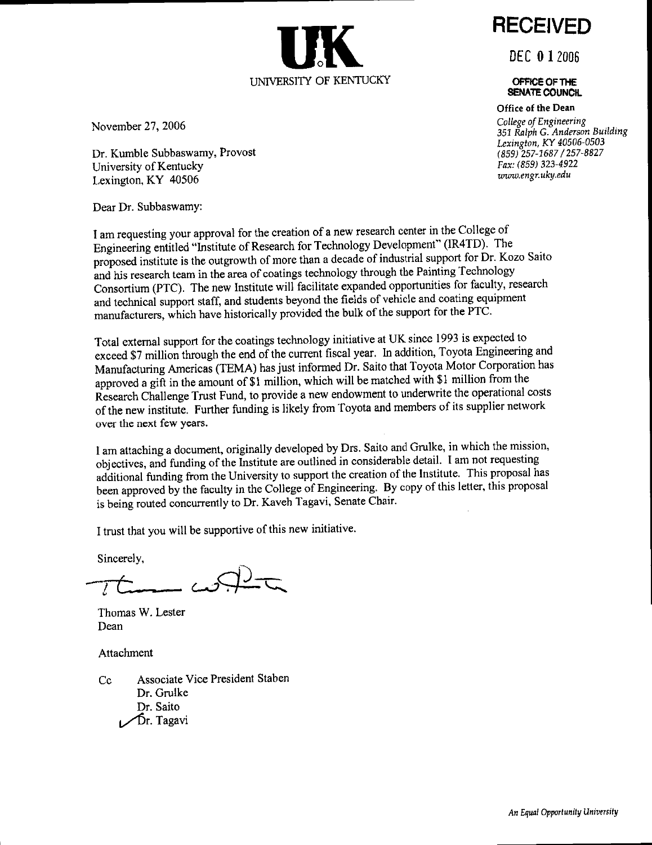

November 27, 2006

Dr. Kumble Subbaswamy, Provost University of Kentucky Lexington, KY 40506

Dear Dr. Subbaswamy:

I am requesting your approval for the creation of a new research center in the College of Engineering entitled "Institute of Research for Technology Development" (IR4TD). The proposed institute is the outgrowth of more than a decade of industrial support for Dr. Kozo Saito and his research team in the area of coatings technology through the Painting Technology Consortium (PTC). The new Institute will facilitate expanded opportunities for faculty, research and technical support staff, and students beyond the fields of vehicle and coating equipment manufacturers, which have historically provided the bulk of the support for the PTC.

Total external support for the coatings technology initiative at UK since 1993 is expected to exceed \$7 million through the end of the current fiscal year. In addition, Toyota Engineering and Manufacturing Americas (TEMA) has just informed Dr. Saito that Toyota Motor Corporation has approved a gift in the amount of \$1 million, which will be matched with \$1 million from the Research Challenge Trust Fund, to provide a new endowment to underwrite the operational costs of the new institute. Further funding is likely from Toyota and members of its supplier network over the next few years.

I am attaching a document, originally developed by Drs. Saito and Grulke, in which the mission, objectives, and funding of the Institute are outlined in considerable detail. I am not requesting additional funding from the University to support the creation of the Institute. This proposal has been approved by the faculty in the College of Engineering. By copy of this letter, this proposal is being routed concurrently to Dr. Kaveh Tagavi, Senate Chair.

I trust that you will be supportive of this new initiative.

Sincerely,

Thomas W. Lester Dean

Attachment

Associate Vice President Staben  $Cc$ Dr. Grulke Dr. Saito Dr. Tagavi

**RECEIVED** 

**DEC 0 1 2006** 

OFFICE OF THE **SENATE COUNCIL** 

Office of the Dean College of Engineering 351 Ralph G. Anderson Building Lexington, KY 40506-0503 (859) 257-1687 / 257-8827 Fax: (859) 323-4922 www.engr.uky.edu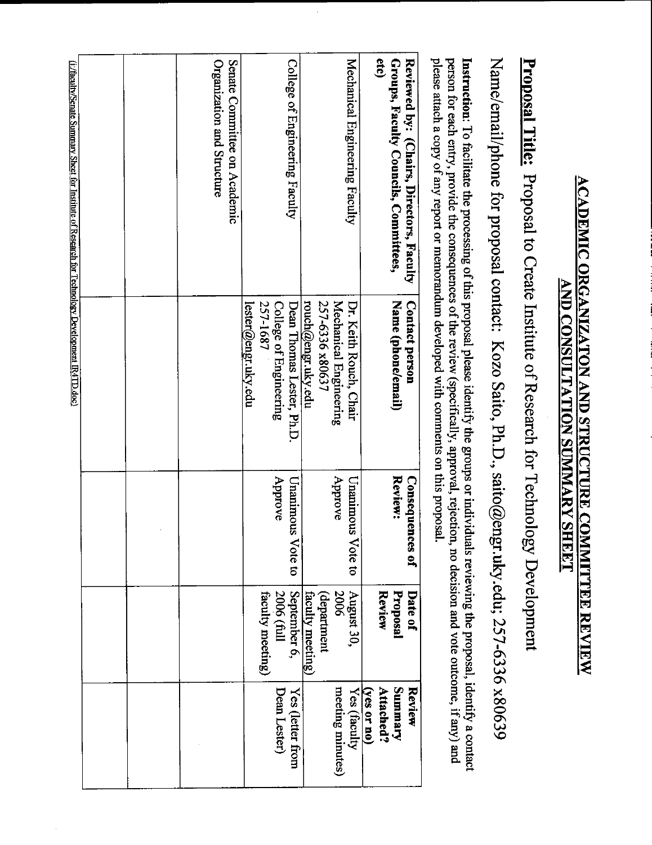# <u>ACADEMIC ORGANIZATON AND STRUCTURE COMMITTEE REVIEW</u> **AND CONSULTATION SUMMARY SHEET**

# **Proposal Title:** Proposal to Create Institute of Research for Technology Development

Name/email/phone for proposal contact: Kozo Saito, Ph.D., saito@engr.uky.edu; 257-6336 x80639

person for each entry, provide the consequences of the review (specifically, approval, rejection, no decision and vote outcome, if any) and please attach a copy of any report or memorandum developed with comments on this proposal. Instruction: To facilitate the processing of this proposal please identify the groups or individuals reviewing the proposal, identify a contact

| Reviewed by: (Chairs, Directors, Faculty                                                        | Contact person           | Conseque<br>nces of | Date of                                                                   | Review                      |
|-------------------------------------------------------------------------------------------------|--------------------------|---------------------|---------------------------------------------------------------------------|-----------------------------|
| etc)<br>Groups, Faculty Councils, Committees,                                                   | Name (phone/email)       | Review:             | <b>Review</b><br>Proposal                                                 | <b>Aremmns</b><br>Attached? |
|                                                                                                 |                          |                     |                                                                           | $(yes$ or no)               |
| Mechanical Engineering Faculty                                                                  | Dr. Keith Rouch, Chair   | Unanimous Vote to   | August 30,                                                                | Yes (faculty                |
|                                                                                                 | Mechanical Engineering   | Approve             | 2006                                                                      | meeting minutes)            |
|                                                                                                 | 257-6336 x80637          |                     | (department                                                               |                             |
|                                                                                                 | rouch@engr.uky.edu       |                     | faculty meeting)                                                          |                             |
| College of Engineering Faculty                                                                  | Dean Thomas Lester, Ph.D | Unanimous Vote to   |                                                                           | Yes (letter from            |
|                                                                                                 | College of Engineering   | Approve             | $\begin{array}{c} \text{September 6,} \\ 2006 \text{ (full)} \end{array}$ | Dean Lester)                |
|                                                                                                 | 257-1687                 |                     | faculty meeting)                                                          |                             |
|                                                                                                 | lester@engr.uky.edu      |                     |                                                                           |                             |
| Senate Committee on Academic                                                                    |                          |                     |                                                                           |                             |
| Organization and Structure                                                                      |                          |                     |                                                                           |                             |
|                                                                                                 |                          |                     |                                                                           |                             |
|                                                                                                 |                          |                     |                                                                           |                             |
|                                                                                                 |                          |                     |                                                                           |                             |
|                                                                                                 |                          |                     |                                                                           |                             |
|                                                                                                 |                          |                     |                                                                           |                             |
| (i) facult/Senate Summary Sheet for Institute of Research for Technology Development IR4TD doc) |                          |                     |                                                                           |                             |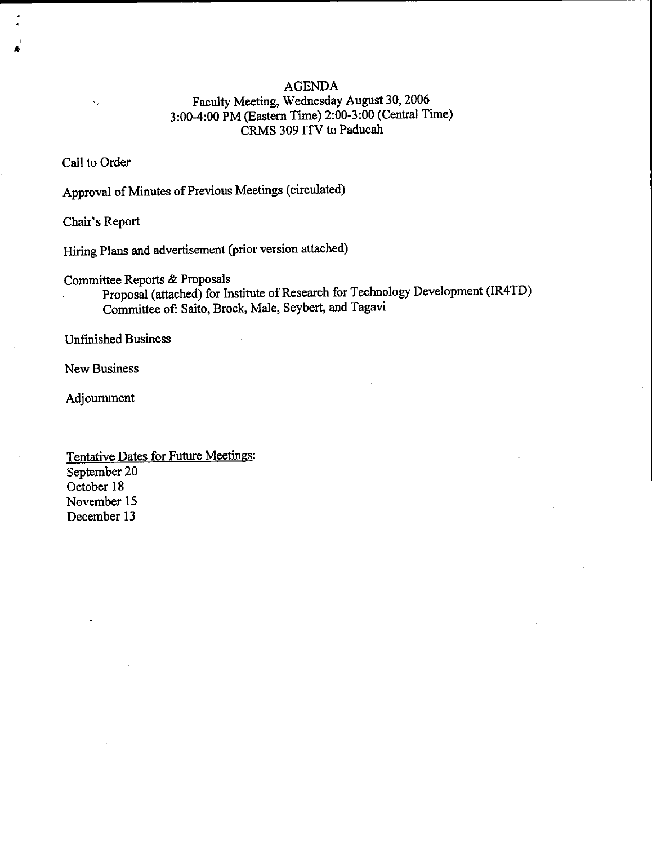### **AGENDA**

### Faculty Meeting, Wednesday August 30, 2006 3:00-4:00 PM (Eastern Time) 2:00-3:00 (Central Time) CRMS 309 ITV to Paducah

### Call to Order

 $\bar{\gamma}$ 

Approval of Minutes of Previous Meetings (circulated)

Chair's Report

Hiring Plans and advertisement (prior version attached)

Committee Reports & Proposals

Proposal (attached) for Institute of Research for Technology Development (IR4TD) Committee of: Saito, Brock, Male, Seybert, and Tagavi

**Unfinished Business** 

**New Business** 

Adjournment

Tentative Dates for Future Meetings: September 20 October 18 November 15 December 13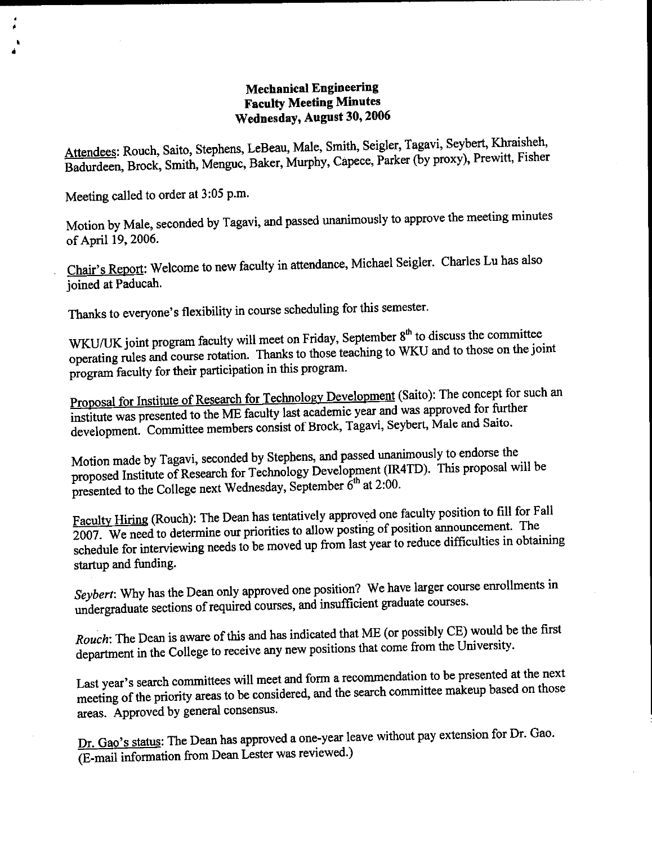### **Mechanical Engineering Faculty Meeting Minutes** Wednesday, August 30, 2006

Attendees: Rouch, Saito, Stephens, LeBeau, Male, Smith, Seigler, Tagavi, Seybert, Khraisheh, Badurdeen, Brock, Smith, Menguc, Baker, Murphy, Capece, Parker (by proxy), Prewitt, Fisher

Meeting called to order at 3:05 p.m.

Motion by Male, seconded by Tagavi, and passed unanimously to approve the meeting minutes of April 19, 2006.

Chair's Report: Welcome to new faculty in attendance, Michael Seigler. Charles Lu has also ioined at Paducah.

Thanks to everyone's flexibility in course scheduling for this semester.

WKU/UK joint program faculty will meet on Friday, September 8<sup>th</sup> to discuss the committee operating rules and course rotation. Thanks to those teaching to WKU and to those on the joint program faculty for their participation in this program.

Proposal for Institute of Research for Technology Development (Saito): The concept for such an institute was presented to the ME faculty last academic year and was approved for further development. Committee members consist of Brock, Tagavi, Seybert, Male and Saito.

Motion made by Tagavi, seconded by Stephens, and passed unanimously to endorse the proposed Institute of Research for Technology Development (IR4TD). This proposal will be presented to the College next Wednesday, September  $6<sup>th</sup>$  at 2:00.

Faculty Hiring (Rouch): The Dean has tentatively approved one faculty position to fill for Fall 2007. We need to determine our priorities to allow posting of position announcement. The schedule for interviewing needs to be moved up from last year to reduce difficulties in obtaining startup and funding.

Seybert: Why has the Dean only approved one position? We have larger course enrollments in undergraduate sections of required courses, and insufficient graduate courses.

Rouch: The Dean is aware of this and has indicated that ME (or possibly CE) would be the first department in the College to receive any new positions that come from the University.

Last year's search committees will meet and form a recommendation to be presented at the next meeting of the priority areas to be considered, and the search committee makeup based on those areas. Approved by general consensus.

Dr. Gao's status: The Dean has approved a one-year leave without pay extension for Dr. Gao. (E-mail information from Dean Lester was reviewed.)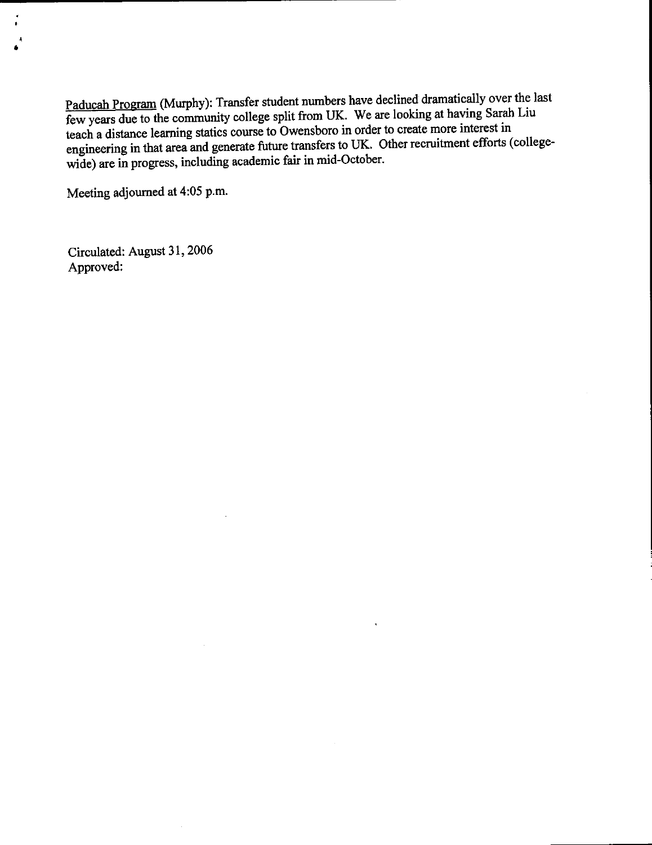Paducah Program (Murphy): Transfer student numbers have declined dramatically over the last few years due to the community college split from UK. We are looking at having Sarah Liu teach a distance learning statics course to Owensboro in order to create more interest in engineering in that area and generate future transfers to UK. Other recruitment efforts (collegewide) are in progress, including academic fair in mid-October.

Meeting adjourned at 4:05 p.m.

Circulated: August 31, 2006 Approved: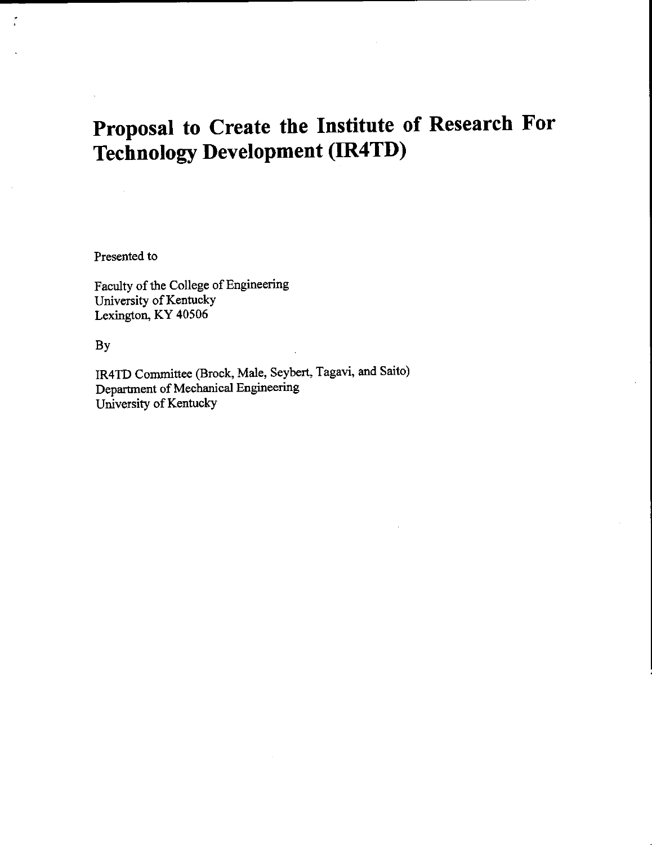# Proposal to Create the Institute of Research For **Technology Development (IR4TD)**

Presented to

Faculty of the College of Engineering University of Kentucky Lexington, KY 40506

By

 $\frac{\partial}{\partial t}$ 

IR4TD Committee (Brock, Male, Seybert, Tagavi, and Saito) Department of Mechanical Engineering University of Kentucky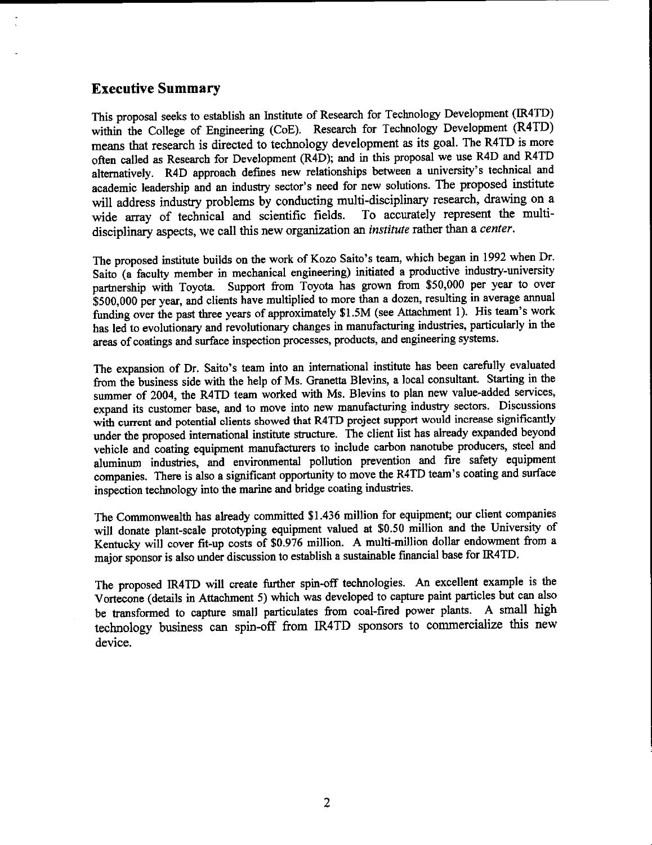### **Executive Summary**

This proposal seeks to establish an Institute of Research for Technology Development (IR4TD) within the College of Engineering (CoE). Research for Technology Development (R4TD) means that research is directed to technology development as its goal. The R4TD is more often called as Research for Development (R4D); and in this proposal we use R4D and R4TD alternatively. R4D approach defines new relationships between a university's technical and academic leadership and an industry sector's need for new solutions. The proposed institute will address industry problems by conducting multi-disciplinary research, drawing on a To accurately represent the multiwide array of technical and scientific fields. disciplinary aspects, we call this new organization an *institute* rather than a center.

The proposed institute builds on the work of Kozo Saito's team, which began in 1992 when Dr. Saito (a faculty member in mechanical engineering) initiated a productive industry-university partnership with Toyota. Support from Toyota has grown from \$50,000 per year to over \$500,000 per year, and clients have multiplied to more than a dozen, resulting in average annual funding over the past three years of approximately \$1.5M (see Attachment 1). His team's work has led to evolutionary and revolutionary changes in manufacturing industries, particularly in the areas of coatings and surface inspection processes, products, and engineering systems.

The expansion of Dr. Saito's team into an international institute has been carefully evaluated from the business side with the help of Ms. Granetta Blevins, a local consultant. Starting in the summer of 2004, the R4TD team worked with Ms. Blevins to plan new value-added services, expand its customer base, and to move into new manufacturing industry sectors. Discussions with current and potential clients showed that R4TD project support would increase significantly under the proposed international institute structure. The client list has already expanded beyond vehicle and coating equipment manufacturers to include carbon nanotube producers, steel and aluminum industries, and environmental pollution prevention and fire safety equipment companies. There is also a significant opportunity to move the R4TD team's coating and surface inspection technology into the marine and bridge coating industries.

The Commonwealth has already committed \$1.436 million for equipment; our client companies will donate plant-scale prototyping equipment valued at \$0.50 million and the University of Kentucky will cover fit-up costs of \$0.976 million. A multi-million dollar endowment from a major sponsor is also under discussion to establish a sustainable financial base for IR4TD.

The proposed IR4TD will create further spin-off technologies. An excellent example is the Vortecone (details in Attachment 5) which was developed to capture paint particles but can also be transformed to capture small particulates from coal-fired power plants. A small high technology business can spin-off from IR4TD sponsors to commercialize this new device.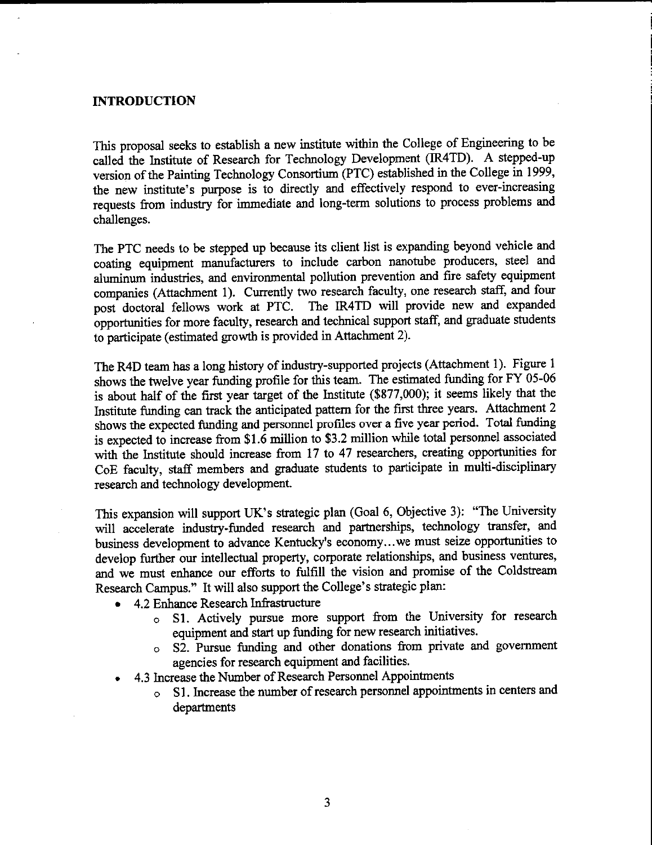### **INTRODUCTION**

This proposal seeks to establish a new institute within the College of Engineering to be called the Institute of Research for Technology Development (IR4TD). A stepped-up version of the Painting Technology Consortium (PTC) established in the College in 1999, the new institute's purpose is to directly and effectively respond to ever-increasing requests from industry for immediate and long-term solutions to process problems and challenges.

The PTC needs to be stepped up because its client list is expanding beyond vehicle and coating equipment manufacturers to include carbon nanotube producers, steel and aluminum industries, and environmental pollution prevention and fire safety equipment companies (Attachment 1). Currently two research faculty, one research staff, and four post doctoral fellows work at PTC. The IR4TD will provide new and expanded opportunities for more faculty, research and technical support staff, and graduate students to participate (estimated growth is provided in Attachment 2).

The R4D team has a long history of industry-supported projects (Attachment 1). Figure 1 shows the twelve year funding profile for this team. The estimated funding for FY 05-06 is about half of the first year target of the Institute (\$877,000); it seems likely that the Institute funding can track the anticipated pattern for the first three years. Attachment 2 shows the expected funding and personnel profiles over a five year period. Total funding is expected to increase from \$1.6 million to \$3.2 million while total personnel associated with the Institute should increase from 17 to 47 researchers, creating opportunities for CoE faculty, staff members and graduate students to participate in multi-disciplinary research and technology development.

This expansion will support UK's strategic plan (Goal 6, Objective 3): "The University will accelerate industry-funded research and partnerships, technology transfer, and business development to advance Kentucky's economy...we must seize opportunities to develop further our intellectual property, corporate relationships, and business ventures, and we must enhance our efforts to fulfill the vision and promise of the Coldstream Research Campus." It will also support the College's strategic plan:

- 4.2 Enhance Research Infrastructure
	- S1. Actively pursue more support from the University for research  $\circ$ equipment and start up funding for new research initiatives.
	- $\circ$  S2. Pursue funding and other donations from private and government agencies for research equipment and facilities.
- 4.3 Increase the Number of Research Personnel Appointments
	- S1. Increase the number of research personnel appointments in centers and  $\circ$ departments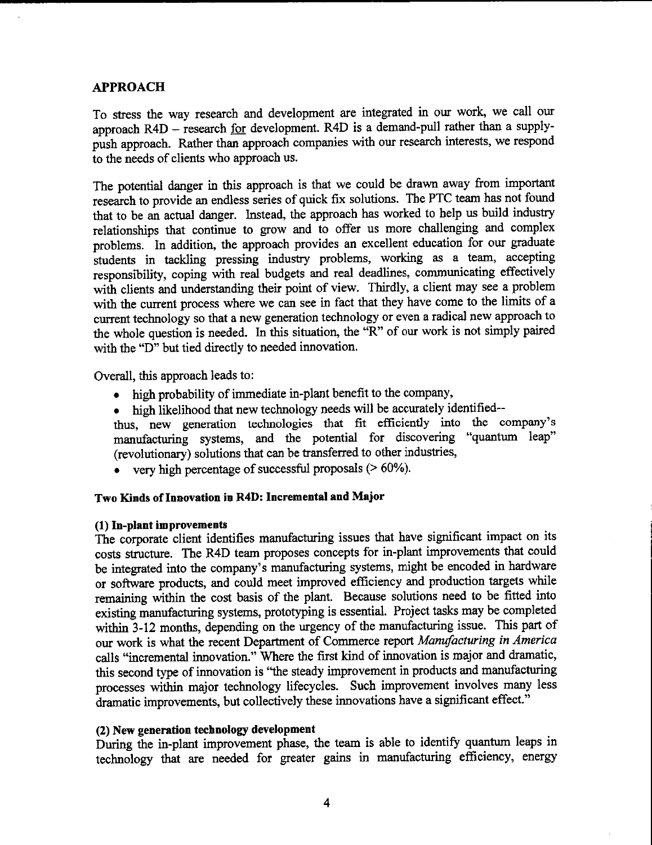### **APPROACH**

To stress the way research and development are integrated in our work, we call our approach R4D - research for development. R4D is a demand-pull rather than a supplypush approach. Rather than approach companies with our research interests, we respond to the needs of clients who approach us.

The potential danger in this approach is that we could be drawn away from important research to provide an endless series of quick fix solutions. The PTC team has not found that to be an actual danger. Instead, the approach has worked to help us build industry relationships that continue to grow and to offer us more challenging and complex problems. In addition, the approach provides an excellent education for our graduate students in tackling pressing industry problems, working as a team, accepting responsibility, coping with real budgets and real deadlines, communicating effectively with clients and understanding their point of view. Thirdly, a client may see a problem with the current process where we can see in fact that they have come to the limits of a current technology so that a new generation technology or even a radical new approach to the whole question is needed. In this situation, the "R" of our work is not simply paired with the "D" but tied directly to needed innovation.

Overall, this approach leads to:

- high probability of immediate in-plant benefit to the company,
- high likelihood that new technology needs will be accurately identified--
- thus, new generation technologies that fit efficiently into the company's manufacturing systems, and the potential for discovering "quantum leap" (revolutionary) solutions that can be transferred to other industries,
- very high percentage of successful proposals  $(>60\%)$ .

### Two Kinds of Innovation in R4D: Incremental and Major

### (1) In-plant improvements

The corporate client identifies manufacturing issues that have significant impact on its costs structure. The R4D team proposes concepts for in-plant improvements that could be integrated into the company's manufacturing systems, might be encoded in hardware or software products, and could meet improved efficiency and production targets while remaining within the cost basis of the plant. Because solutions need to be fitted into existing manufacturing systems, prototyping is essential. Project tasks may be completed within 3-12 months, depending on the urgency of the manufacturing issue. This part of our work is what the recent Department of Commerce report Manufacturing in America calls "incremental innovation." Where the first kind of innovation is major and dramatic, this second type of innovation is "the steady improvement in products and manufacturing processes within major technology lifecycles. Such improvement involves many less dramatic improvements, but collectively these innovations have a significant effect."

### (2) New generation technology development

During the in-plant improvement phase, the team is able to identify quantum leaps in technology that are needed for greater gains in manufacturing efficiency, energy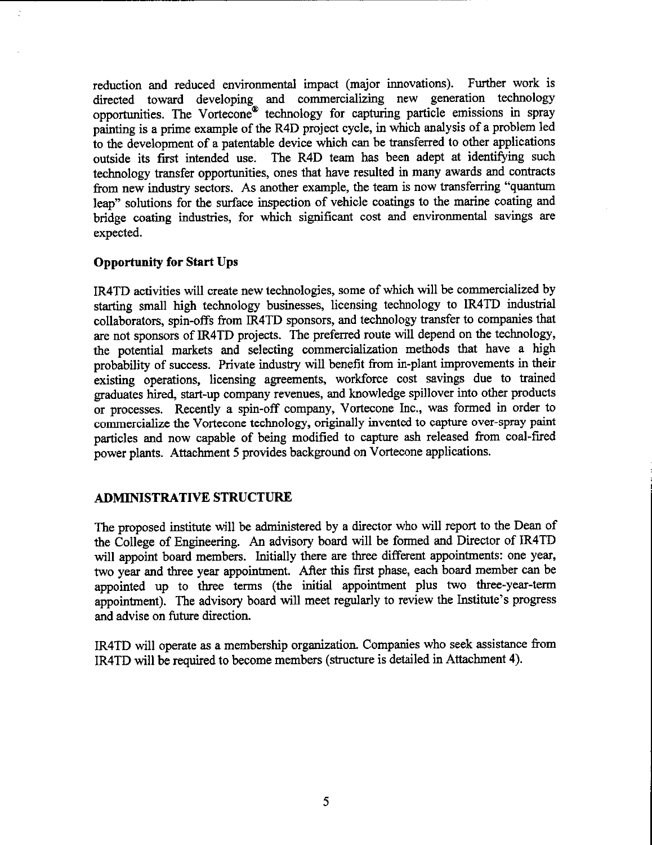reduction and reduced environmental impact (major innovations). Further work is directed toward developing and commercializing new generation technology<br>opportunities. The Vortecone® technology for capturing particle emissions in spray painting is a prime example of the R4D project cycle, in which analysis of a problem led to the development of a patentable device which can be transferred to other applications outside its first intended use. The R4D team has been adept at identifying such technology transfer opportunities, ones that have resulted in many awards and contracts from new industry sectors. As another example, the team is now transferring "quantum leap" solutions for the surface inspection of vehicle coatings to the marine coating and bridge coating industries, for which significant cost and environmental savings are expected.

### **Opportunity for Start Ups**

IR4TD activities will create new technologies, some of which will be commercialized by starting small high technology businesses, licensing technology to IR4TD industrial collaborators, spin-offs from IR4TD sponsors, and technology transfer to companies that are not sponsors of IR4TD projects. The preferred route will depend on the technology, the potential markets and selecting commercialization methods that have a high probability of success. Private industry will benefit from in-plant improvements in their existing operations, licensing agreements, workforce cost savings due to trained graduates hired, start-up company revenues, and knowledge spillover into other products or processes. Recently a spin-off company, Vortecone Inc., was formed in order to commercialize the Vortecone technology, originally invented to capture over-spray paint particles and now capable of being modified to capture ash released from coal-fired power plants. Attachment 5 provides background on Vortecone applications.

### **ADMINISTRATIVE STRUCTURE**

The proposed institute will be administered by a director who will report to the Dean of the College of Engineering. An advisory board will be formed and Director of IR4TD will appoint board members. Initially there are three different appointments: one year, two year and three year appointment. After this first phase, each board member can be appointed up to three terms (the initial appointment plus two three-year-term appointment). The advisory board will meet regularly to review the Institute's progress and advise on future direction.

IR4TD will operate as a membership organization. Companies who seek assistance from IR4TD will be required to become members (structure is detailed in Attachment 4).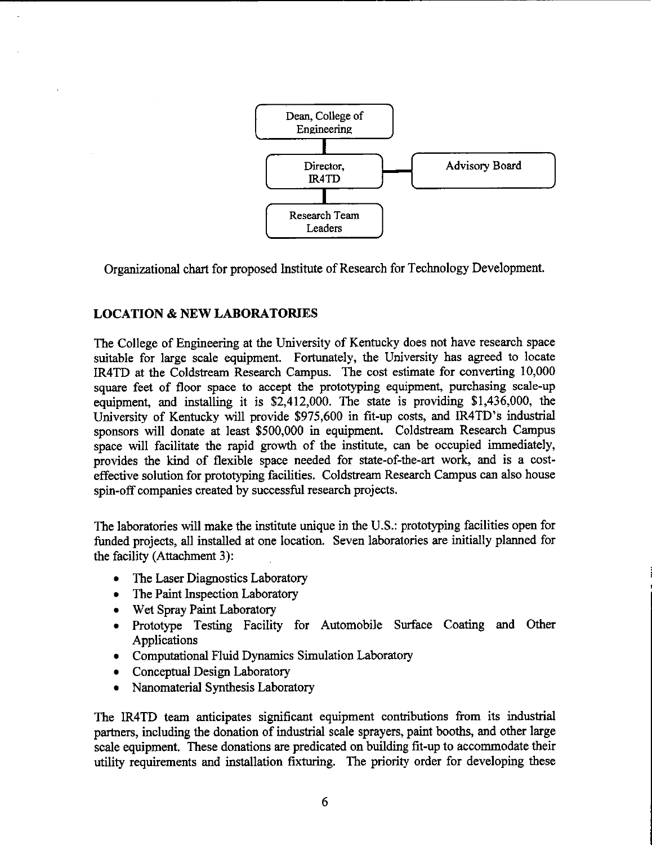

Organizational chart for proposed Institute of Research for Technology Development.

### **LOCATION & NEW LABORATORIES**

The College of Engineering at the University of Kentucky does not have research space suitable for large scale equipment. Fortunately, the University has agreed to locate IR4TD at the Coldstream Research Campus. The cost estimate for converting 10,000 square feet of floor space to accept the prototyping equipment, purchasing scale-up equipment, and installing it is \$2,412,000. The state is providing \$1,436,000, the University of Kentucky will provide \$975,600 in fit-up costs, and IR4TD's industrial sponsors will donate at least \$500,000 in equipment. Coldstream Research Campus space will facilitate the rapid growth of the institute, can be occupied immediately, provides the kind of flexible space needed for state-of-the-art work, and is a costeffective solution for prototyping facilities. Coldstream Research Campus can also house spin-off companies created by successful research projects.

The laboratories will make the institute unique in the U.S.: prototyping facilities open for funded projects, all installed at one location. Seven laboratories are initially planned for the facility (Attachment 3):

- The Laser Diagnostics Laboratory
- The Paint Inspection Laboratory
- Wet Spray Paint Laboratory
- Prototype Testing Facility for Automobile Surface Coating and Other Applications
- Computational Fluid Dynamics Simulation Laboratory
- Conceptual Design Laboratory
- Nanomaterial Synthesis Laboratory

The IR4TD team anticipates significant equipment contributions from its industrial partners, including the donation of industrial scale sprayers, paint booths, and other large scale equipment. These donations are predicated on building fit-up to accommodate their utility requirements and installation fixturing. The priority order for developing these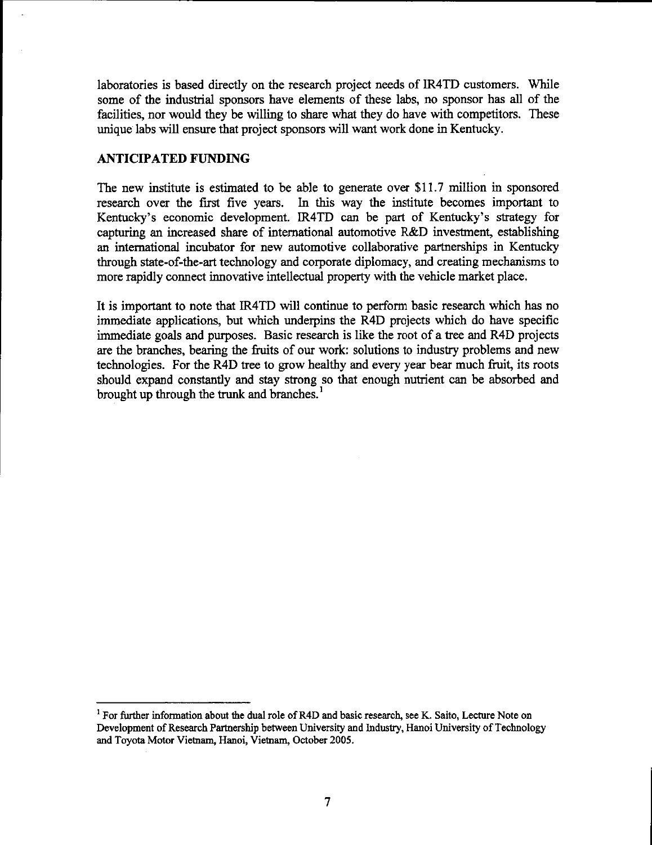laboratories is based directly on the research project needs of IR4TD customers. While some of the industrial sponsors have elements of these labs, no sponsor has all of the facilities, nor would they be willing to share what they do have with competitors. These unique labs will ensure that project sponsors will want work done in Kentucky.

### **ANTICIPATED FUNDING**

The new institute is estimated to be able to generate over \$11.7 million in sponsored research over the first five years. In this way the institute becomes important to Kentucky's economic development. IR4TD can be part of Kentucky's strategy for capturing an increased share of international automotive R&D investment, establishing an international incubator for new automotive collaborative partnerships in Kentucky through state-of-the-art technology and corporate diplomacy, and creating mechanisms to more rapidly connect innovative intellectual property with the vehicle market place.

It is important to note that IR4TD will continue to perform basic research which has no immediate applications, but which underpins the R4D projects which do have specific immediate goals and purposes. Basic research is like the root of a tree and R4D projects are the branches, bearing the fruits of our work: solutions to industry problems and new technologies. For the R4D tree to grow healthy and every year bear much fruit, its roots should expand constantly and stay strong so that enough nutrient can be absorbed and brought up through the trunk and branches.<sup>1</sup>

<sup>&</sup>lt;sup>1</sup> For further information about the dual role of R4D and basic research, see K. Saito, Lecture Note on Development of Research Partnership between University and Industry, Hanoi University of Technology and Toyota Motor Vietnam, Hanoi, Vietnam, October 2005.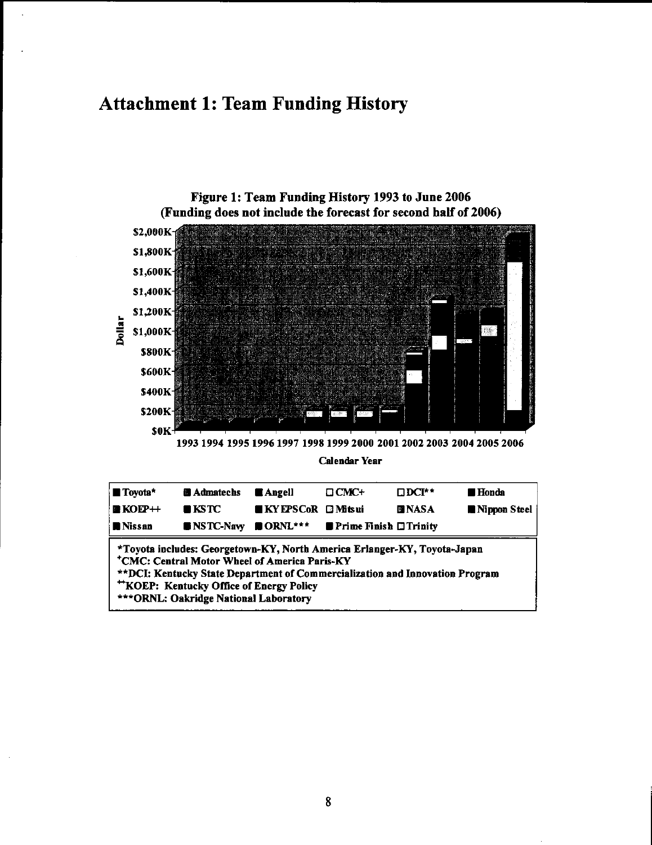# **Attachment 1: Team Funding History**

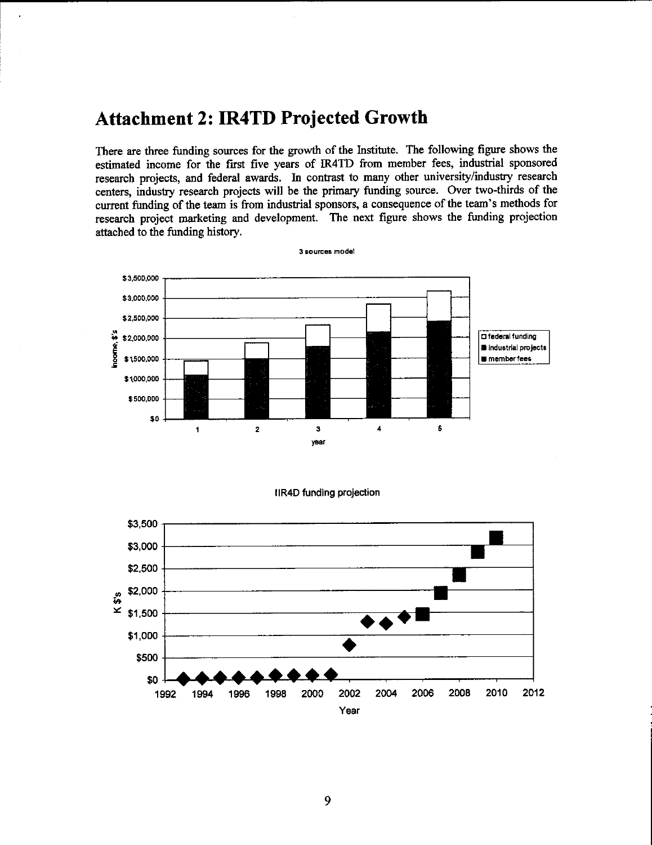## **Attachment 2: IR4TD Projected Growth**

There are three funding sources for the growth of the Institute. The following figure shows the estimated income for the first five years of IR4TD from member fees, industrial sponsored research projects, and federal awards. In contrast to many other university/industry research centers, industry research projects will be the primary funding source. Over two-thirds of the current funding of the team is from industrial sponsors, a consequence of the team's methods for research project marketing and development. The next figure shows the funding projection attached to the funding history.



### **IIR4D funding projection**

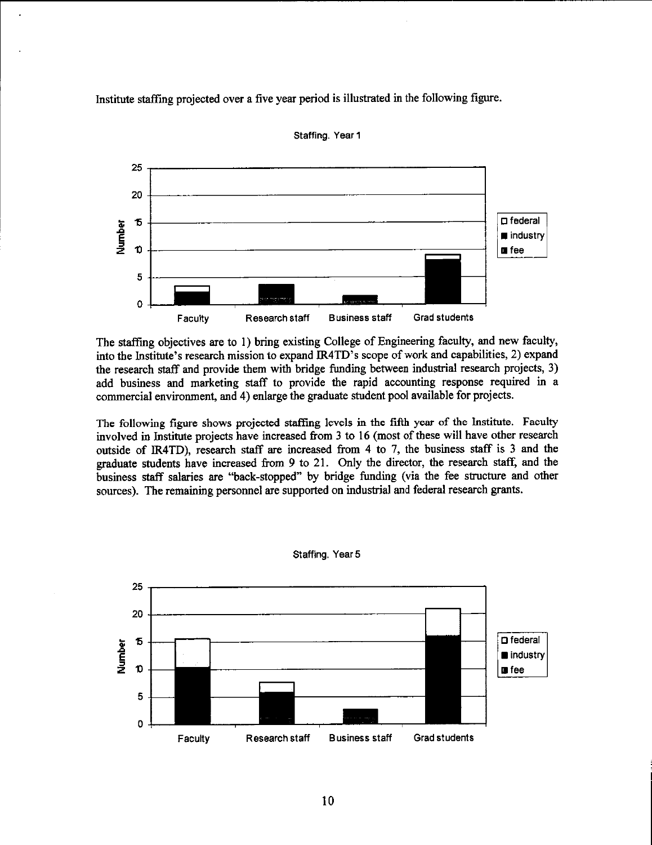Institute staffing projected over a five year period is illustrated in the following figure.



Staffing. Year 1

The staffing objectives are to 1) bring existing College of Engineering faculty, and new faculty, into the Institute's research mission to expand IR4TD's scope of work and capabilities, 2) expand the research staff and provide them with bridge funding between industrial research projects, 3) add business and marketing staff to provide the rapid accounting response required in a commercial environment, and 4) enlarge the graduate student pool available for projects.

The following figure shows projected staffing levels in the fifth year of the Institute. Faculty involved in Institute projects have increased from 3 to 16 (most of these will have other research outside of IR4TD), research staff are increased from 4 to 7, the business staff is 3 and the graduate students have increased from 9 to 21. Only the director, the research staff, and the business staff salaries are "back-stopped" by bridge funding (via the fee structure and other sources). The remaining personnel are supported on industrial and federal research grants.



Staffing, Year 5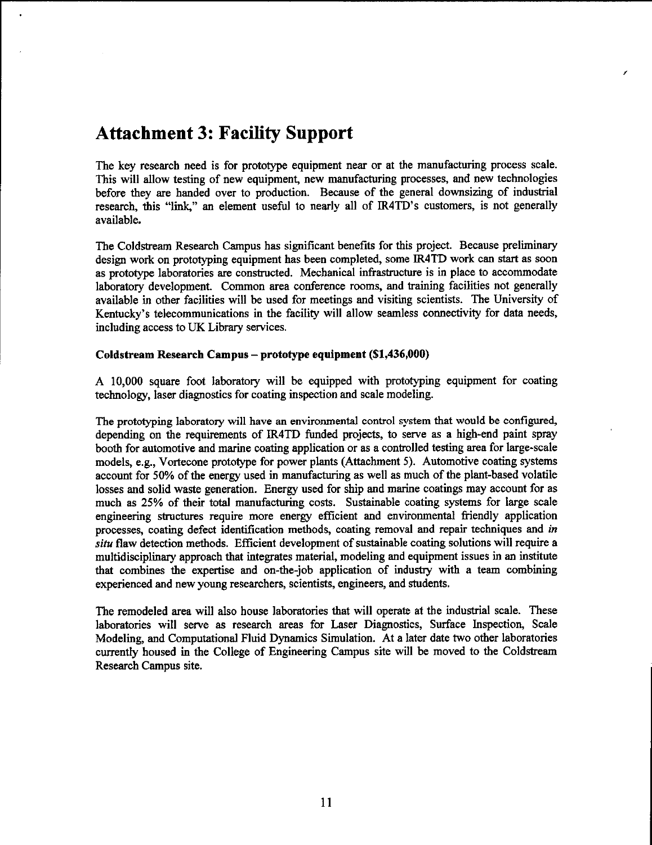# **Attachment 3: Facility Support**

The key research need is for prototype equipment near or at the manufacturing process scale. This will allow testing of new equipment, new manufacturing processes, and new technologies before they are handed over to production. Because of the general downsizing of industrial research, this "link," an element useful to nearly all of IR4TD's customers, is not generally available.

The Coldstream Research Campus has significant benefits for this project. Because preliminary design work on prototyping equipment has been completed, some IR4TD work can start as soon as prototype laboratories are constructed. Mechanical infrastructure is in place to accommodate laboratory development. Common area conference rooms, and training facilities not generally available in other facilities will be used for meetings and visiting scientists. The University of Kentucky's telecommunications in the facility will allow seamless connectivity for data needs, including access to UK Library services.

### Coldstream Research Campus - prototype equipment (\$1,436,000)

A 10,000 square foot laboratory will be equipped with prototyping equipment for coating technology, laser diagnostics for coating inspection and scale modeling.

The prototyping laboratory will have an environmental control system that would be configured, depending on the requirements of IR4TD funded projects, to serve as a high-end paint spray booth for automotive and marine coating application or as a controlled testing area for large-scale models, e.g., Vortecone prototype for power plants (Attachment 5). Automotive coating systems account for 50% of the energy used in manufacturing as well as much of the plant-based volatile losses and solid waste generation. Energy used for ship and marine coatings may account for as much as 25% of their total manufacturing costs. Sustainable coating systems for large scale engineering structures require more energy efficient and environmental friendly application processes, coating defect identification methods, coating removal and repair techniques and in situ flaw detection methods. Efficient development of sustainable coating solutions will require a multidisciplinary approach that integrates material, modeling and equipment issues in an institute that combines the expertise and on-the-job application of industry with a team combining experienced and new young researchers, scientists, engineers, and students.

The remodeled area will also house laboratories that will operate at the industrial scale. These laboratories will serve as research areas for Laser Diagnostics, Surface Inspection, Scale Modeling, and Computational Fluid Dynamics Simulation. At a later date two other laboratories currently housed in the College of Engineering Campus site will be moved to the Coldstream Research Campus site.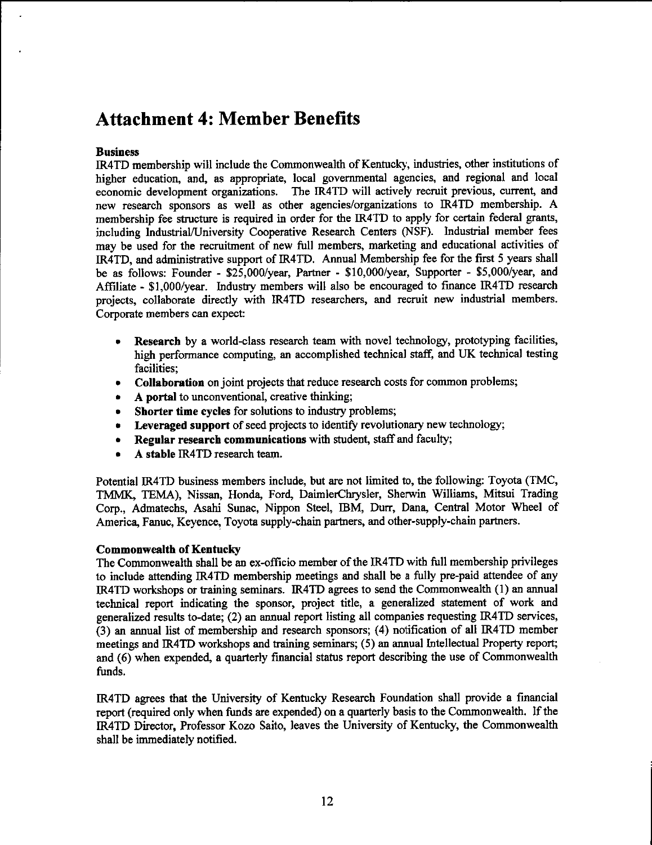# **Attachment 4: Member Benefits**

### **Business**

IR4TD membership will include the Commonwealth of Kentucky, industries, other institutions of higher education, and, as appropriate, local governmental agencies, and regional and local economic development organizations. The IR4TD will actively recruit previous, current, and new research sponsors as well as other agencies/organizations to IR4TD membership. A membership fee structure is required in order for the IR4TD to apply for certain federal grants, including Industrial/University Cooperative Research Centers (NSF). Industrial member fees may be used for the recruitment of new full members, marketing and educational activities of IR4TD, and administrative support of IR4TD. Annual Membership fee for the first 5 years shall be as follows: Founder -  $$25,000/year$ , Partner -  $$10,000/year$ , Supporter -  $$5,000/year$ , and Affiliate - \$1,000/year. Industry members will also be encouraged to finance IR4TD research projects, collaborate directly with IR4TD researchers, and recruit new industrial members. Corporate members can expect:

- Research by a world-class research team with novel technology, prototyping facilities,  $\bullet$ high performance computing, an accomplished technical staff, and UK technical testing facilities:
- Collaboration on joint projects that reduce research costs for common problems;
- A portal to unconventional, creative thinking;
- Shorter time cycles for solutions to industry problems;
- Leveraged support of seed projects to identify revolutionary new technology;
- Regular research communications with student, staff and faculty;  $\bullet$
- A stable IR4TD research team.

Potential IR4TD business members include, but are not limited to, the following: Toyota (TMC, TMMK, TEMA), Nissan, Honda, Ford, DaimlerChrysler, Sherwin Williams, Mitsui Trading Corp., Admatechs, Asahi Sunac, Nippon Steel, IBM, Durr, Dana, Central Motor Wheel of America, Fanuc, Keyence, Toyota supply-chain partners, and other-supply-chain partners.

### **Commonwealth of Kentucky**

The Commonwealth shall be an ex-officio member of the IR4TD with full membership privileges to include attending IR4TD membership meetings and shall be a fully pre-paid attendee of any IR4TD workshops or training seminars. IR4TD agrees to send the Commonwealth (1) an annual technical report indicating the sponsor, project title, a generalized statement of work and generalized results to-date; (2) an annual report listing all companies requesting IR4TD services, (3) an annual list of membership and research sponsors; (4) notification of all IR4TD member meetings and IR4TD workshops and training seminars; (5) an annual Intellectual Property report; and (6) when expended, a quarterly financial status report describing the use of Commonwealth funds.

IR4TD agrees that the University of Kentucky Research Foundation shall provide a financial report (required only when funds are expended) on a quarterly basis to the Commonwealth. If the IR4TD Director, Professor Kozo Saito, leaves the University of Kentucky, the Commonwealth shall be immediately notified.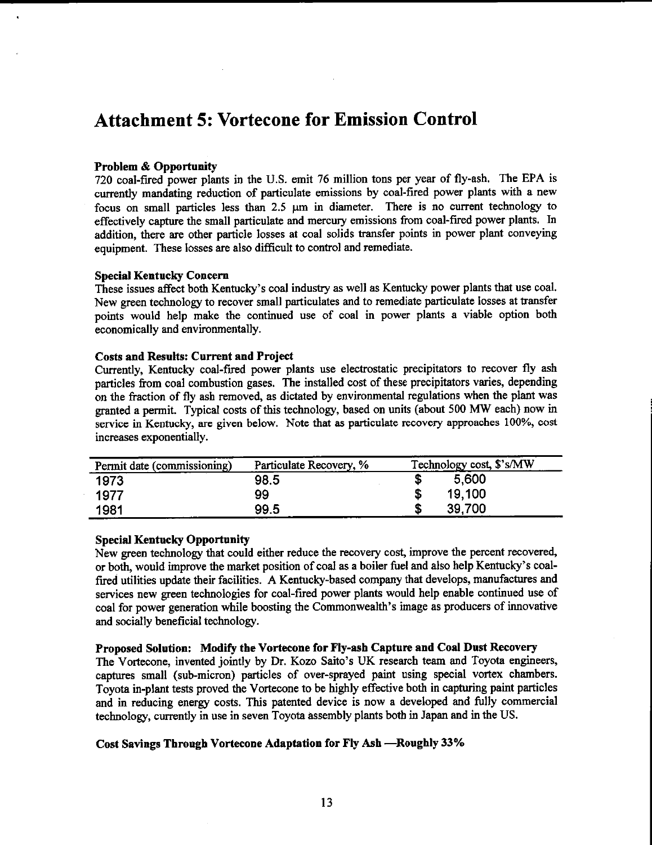# **Attachment 5: Vortecone for Emission Control**

### **Problem & Opportunity**

720 coal-fired power plants in the U.S. emit 76 million tons per year of fly-ash. The EPA is currently mandating reduction of particulate emissions by coal-fired power plants with a new focus on small particles less than 2.5 µm in diameter. There is no current technology to effectively capture the small particulate and mercury emissions from coal-fired power plants. In addition, there are other particle losses at coal solids transfer points in power plant conveying equipment. These losses are also difficult to control and remediate.

### **Special Kentucky Concern**

These issues affect both Kentucky's coal industry as well as Kentucky power plants that use coal. New green technology to recover small particulates and to remediate particulate losses at transfer points would help make the continued use of coal in power plants a viable option both economically and environmentally.

### **Costs and Results: Current and Project**

Currently, Kentucky coal-fired power plants use electrostatic precipitators to recover fly ash particles from coal combustion gases. The installed cost of these precipitators varies, depending on the fraction of fly ash removed, as dictated by environmental regulations when the plant was granted a permit. Typical costs of this technology, based on units (about 500 MW each) now in service in Kentucky, are given below. Note that as particulate recovery approaches 100%, cost increases exponentially.

| Permit date (commissioning) | Particulate Recovery, % | Technology cost, \$'s/MW |
|-----------------------------|-------------------------|--------------------------|
| 1973                        | 98.5                    | 5,600                    |
| 1977                        | 99                      | 19.100                   |
| 1981                        | 99.5                    | 39,700                   |

### **Special Kentucky Opportunity**

New green technology that could either reduce the recovery cost, improve the percent recovered, or both, would improve the market position of coal as a boiler fuel and also help Kentucky's coalfired utilities update their facilities. A Kentucky-based company that develops, manufactures and services new green technologies for coal-fired power plants would help enable continued use of coal for power generation while boosting the Commonwealth's image as producers of innovative and socially beneficial technology.

### Proposed Solution: Modify the Vortecone for Fly-ash Capture and Coal Dust Recovery

The Vortecone, invented jointly by Dr. Kozo Saito's UK research team and Toyota engineers, captures small (sub-micron) particles of over-sprayed paint using special vortex chambers. Toyota in-plant tests proved the Vortecone to be highly effective both in capturing paint particles and in reducing energy costs. This patented device is now a developed and fully commercial technology, currently in use in seven Toyota assembly plants both in Japan and in the US.

### Cost Savings Through Vortecone Adaptation for Fly Ash -Roughly 33%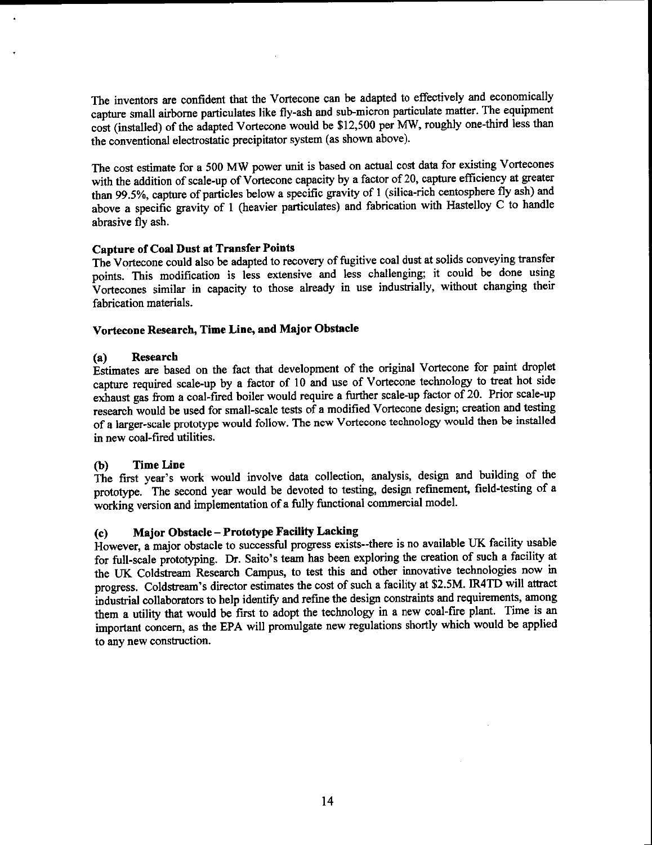The inventors are confident that the Vortecone can be adapted to effectively and economically capture small airborne particulates like fly-ash and sub-micron particulate matter. The equipment cost (installed) of the adapted Vortecone would be \$12,500 per MW, roughly one-third less than the conventional electrostatic precipitator system (as shown above).

The cost estimate for a 500 MW power unit is based on actual cost data for existing Vortecones with the addition of scale-up of Vortecone capacity by a factor of 20, capture efficiency at greater than 99.5%, capture of particles below a specific gravity of 1 (silica-rich centosphere fly ash) and above a specific gravity of 1 (heavier particulates) and fabrication with Hastelloy C to handle abrasive fly ash.

### **Capture of Coal Dust at Transfer Points**

The Vortecone could also be adapted to recovery of fugitive coal dust at solids conveying transfer points. This modification is less extensive and less challenging; it could be done using Vortecones similar in capacity to those already in use industrially, without changing their fabrication materials.

### Vortecone Research, Time Line, and Major Obstacle

### **Research**  $(a)$

Estimates are based on the fact that development of the original Vortecone for paint droplet capture required scale-up by a factor of 10 and use of Vortecone technology to treat hot side exhaust gas from a coal-fired boiler would require a further scale-up factor of 20. Prior scale-up research would be used for small-scale tests of a modified Vortecone design; creation and testing of a larger-scale prototype would follow. The new Vortecone technology would then be installed in new coal-fired utilities.

### **Time Line** (b)

The first year's work would involve data collection, analysis, design and building of the prototype. The second year would be devoted to testing, design refinement, field-testing of a working version and implementation of a fully functional commercial model.

### **Major Obstacle - Prototype Facility Lacking**  $(c)$

However, a major obstacle to successful progress exists--there is no available UK facility usable for full-scale prototyping. Dr. Saito's team has been exploring the creation of such a facility at the UK Coldstream Research Campus, to test this and other innovative technologies now in progress. Coldstream's director estimates the cost of such a facility at \$2.5M. IR4TD will attract industrial collaborators to help identify and refine the design constraints and requirements, among them a utility that would be first to adopt the technology in a new coal-fire plant. Time is an important concern, as the EPA will promulgate new regulations shortly which would be applied to any new construction.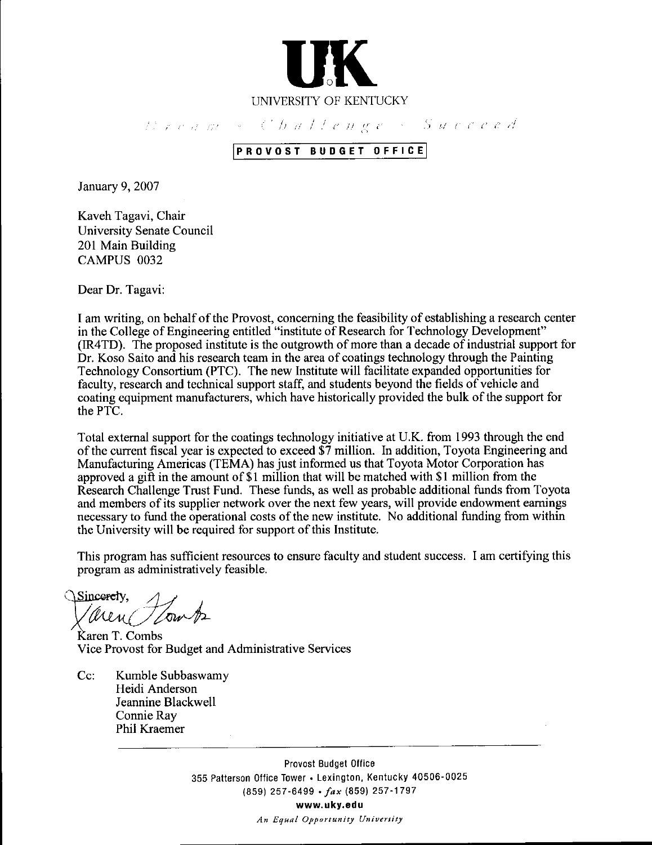

threatment Challenge - Succeed

### PROVOST BUDGET OFFICE

January 9, 2007

Kaveh Tagavi, Chair University Senate Council 201 Main Building CAMPUS 0032

Dear Dr. Tagavi:

I am writing, on behalf of the Provost, concerning the feasibility of establishing a research center in the College of Engineering entitled "institute of Research for Technology Development" (IR4TD). The proposed institute is the outgrowth of more than a decade of industrial support for Dr. Koso Saito and his research team in the area of coatings technology through the Painting Technology Consortium (PTC). The new Institute will facilitate expanded opportunities for faculty, research and technical support staff, and students beyond the fields of vehicle and coating equipment manufacturers, which have historically provided the bulk of the support for the PTC.

Total external support for the coatings technology initiative at U.K. from 1993 through the end of the current fiscal year is expected to exceed  $\overline{\$7}$  million. In addition, Toyota Engineering and Manufacturing Americas (TEMA) has just informed us that Toyota Motor Corporation has approved a gift in the amount of \$1 million that will be matched with \$1 million from the Research Challenge Trust Fund. These funds, as well as probable additional funds from Toyota and members of its supplier network over the next few years, will provide endowment earnings necessary to fund the operational costs of the new institute. No additional funding from within the University will be required for support of this Institute.

This program has sufficient resources to ensure faculty and student success. I am certifying this program as administratively feasible.

Sincerciy. aren Tlomb

Karen T. Combs Vice Provost for Budget and Administrative Services

Cc: Kumble Subbaswamy Heidi Anderson Jeannine Blackwell Connie Ray Phil Kraemer

> Provost Budget Office 355 Patterson Office Tower • Lexington, Kentucky 40506-0025 (859) 257-6499 · fax (859) 257-1797 www.uky.edu An Equal Opportunity University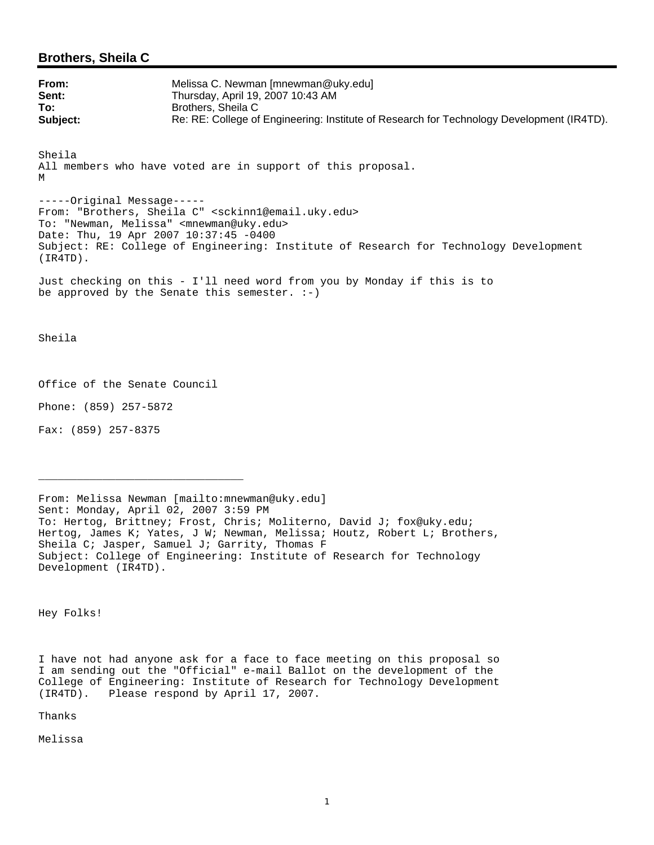### **Brothers, Sheila C**

| From:    | Melissa C. Newman [mnewman@uky.edu]                                                       |
|----------|-------------------------------------------------------------------------------------------|
| Sent:    | Thursday, April 19, 2007 10:43 AM                                                         |
| To:      | Brothers. Sheila C                                                                        |
| Subject: | Re: RE: College of Engineering: Institute of Research for Technology Development (IR4TD). |

Sheila All members who have voted are in support of this proposal. M

-----Original Message----- From: "Brothers, Sheila C" <sckinn1@email.uky.edu> To: "Newman, Melissa" <mnewman@uky.edu> Date: Thu, 19 Apr 2007 10:37:45 -0400 Subject: RE: College of Engineering: Institute of Research for Technology Development (IR4TD).

Just checking on this - I'll need word from you by Monday if this is to be approved by the Senate this semester.  $:-)$ 

Sheila

Office of the Senate Council

\_\_\_\_\_\_\_\_\_\_\_\_\_\_\_\_\_\_\_\_\_\_\_\_\_\_\_\_\_\_\_\_

Phone: (859) 257-5872

Fax: (859) 257-8375

From: Melissa Newman [mailto:mnewman@uky.edu] Sent: Monday, April 02, 2007 3:59 PM To: Hertog, Brittney; Frost, Chris; Moliterno, David J; fox@uky.edu; Hertog, James K; Yates, J W; Newman, Melissa; Houtz, Robert L; Brothers, Sheila C; Jasper, Samuel J; Garrity, Thomas F Subject: College of Engineering: Institute of Research for Technology Development (IR4TD).

Hey Folks!

I have not had anyone ask for a face to face meeting on this proposal so I am sending out the "Official" e-mail Ballot on the development of the College of Engineering: Institute of Research for Technology Development (IR4TD). Please respond by April 17, 2007.

Thanks

Melissa